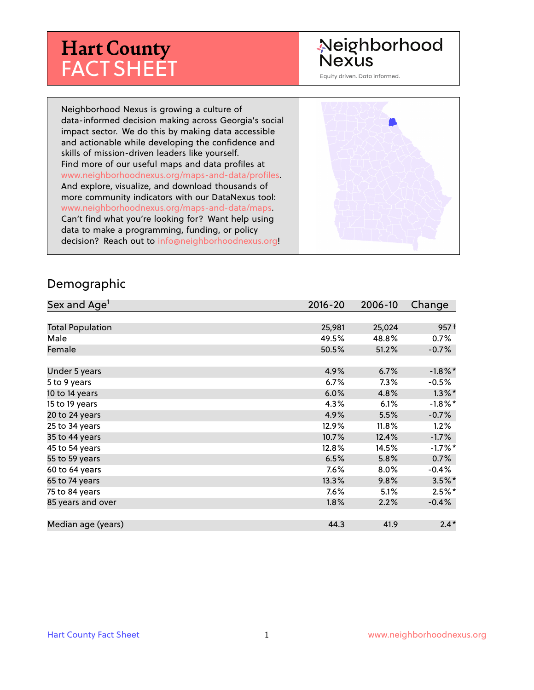# **Hart County** FACT SHEET

# Neighborhood **Nexus**

Equity driven. Data informed.

Neighborhood Nexus is growing a culture of data-informed decision making across Georgia's social impact sector. We do this by making data accessible and actionable while developing the confidence and skills of mission-driven leaders like yourself. Find more of our useful maps and data profiles at www.neighborhoodnexus.org/maps-and-data/profiles. And explore, visualize, and download thousands of more community indicators with our DataNexus tool: www.neighborhoodnexus.org/maps-and-data/maps. Can't find what you're looking for? Want help using data to make a programming, funding, or policy decision? Reach out to [info@neighborhoodnexus.org!](mailto:info@neighborhoodnexus.org)



#### Demographic

| Sex and Age <sup>1</sup> | $2016 - 20$ | 2006-10 | Change           |
|--------------------------|-------------|---------|------------------|
|                          |             |         |                  |
| <b>Total Population</b>  | 25,981      | 25,024  | 957 <sup>†</sup> |
| Male                     | 49.5%       | 48.8%   | 0.7%             |
| Female                   | 50.5%       | 51.2%   | $-0.7%$          |
|                          |             |         |                  |
| Under 5 years            | 4.9%        | 6.7%    | $-1.8\%$ *       |
| 5 to 9 years             | $6.7\%$     | $7.3\%$ | $-0.5%$          |
| 10 to 14 years           | 6.0%        | 4.8%    | $1.3\%$ *        |
| 15 to 19 years           | 4.3%        | 6.1%    | $-1.8\%$ *       |
| 20 to 24 years           | 4.9%        | 5.5%    | $-0.7%$          |
| 25 to 34 years           | 12.9%       | 11.8%   | 1.2%             |
| 35 to 44 years           | 10.7%       | 12.4%   | $-1.7\%$         |
| 45 to 54 years           | 12.8%       | 14.5%   | $-1.7%$ *        |
| 55 to 59 years           | 6.5%        | 5.8%    | 0.7%             |
| 60 to 64 years           | 7.6%        | 8.0%    | $-0.4%$          |
| 65 to 74 years           | $13.3\%$    | $9.8\%$ | $3.5\%$ *        |
| 75 to 84 years           | 7.6%        | 5.1%    | $2.5%$ *         |
| 85 years and over        | 1.8%        | 2.2%    | $-0.4%$          |
|                          |             |         |                  |
| Median age (years)       | 44.3        | 41.9    | $2.4*$           |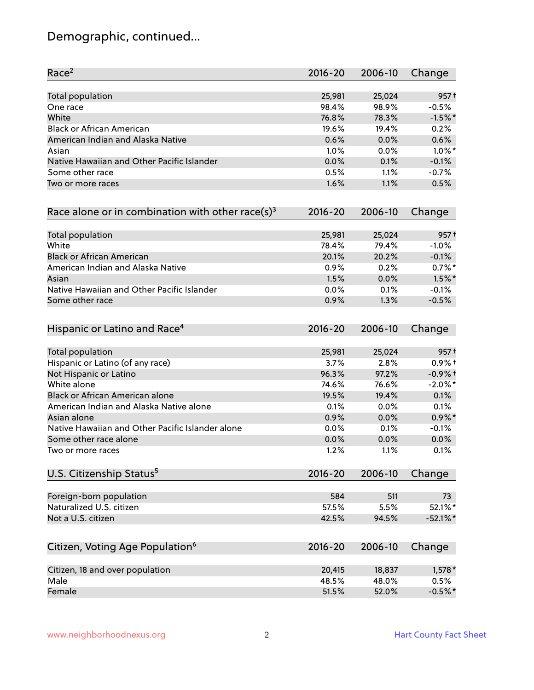# Demographic, continued...

| Race <sup>2</sup>                                   | $2016 - 20$ | 2006-10 | Change           |
|-----------------------------------------------------|-------------|---------|------------------|
| <b>Total population</b>                             | 25,981      | 25,024  | 957 <sup>†</sup> |
| One race                                            | 98.4%       | 98.9%   | $-0.5%$          |
| White                                               | 76.8%       | 78.3%   | $-1.5%$ *        |
| <b>Black or African American</b>                    | 19.6%       | 19.4%   | 0.2%             |
| American Indian and Alaska Native                   | 0.6%        | 0.0%    | 0.6%             |
| Asian                                               | 1.0%        | 0.0%    | $1.0\%$ *        |
| Native Hawaiian and Other Pacific Islander          | 0.0%        | 0.1%    | $-0.1%$          |
| Some other race                                     | 0.5%        | 1.1%    | $-0.7%$          |
| Two or more races                                   | 1.6%        | 1.1%    | 0.5%             |
| Race alone or in combination with other race(s) $3$ | $2016 - 20$ | 2006-10 | Change           |
| Total population                                    | 25,981      | 25,024  | 957 <sup>†</sup> |
| White                                               | 78.4%       | 79.4%   | $-1.0%$          |
| <b>Black or African American</b>                    | 20.1%       | 20.2%   | $-0.1%$          |
| American Indian and Alaska Native                   | 0.9%        | 0.2%    | $0.7%$ *         |
| Asian                                               | 1.5%        | 0.0%    | $1.5\%$ *        |
| Native Hawaiian and Other Pacific Islander          | 0.0%        | 0.1%    | $-0.1%$          |
| Some other race                                     | 0.9%        | 1.3%    | $-0.5%$          |
| Hispanic or Latino and Race <sup>4</sup>            | $2016 - 20$ | 2006-10 | Change           |
| <b>Total population</b>                             | 25,981      | 25,024  | 957 <sup>†</sup> |
| Hispanic or Latino (of any race)                    | 3.7%        | 2.8%    | $0.9%$ +         |
| Not Hispanic or Latino                              | 96.3%       | 97.2%   | $-0.9%$ +        |
| White alone                                         | 74.6%       | 76.6%   | $-2.0\%$ *       |
| Black or African American alone                     | 19.5%       | 19.4%   | 0.1%             |
| American Indian and Alaska Native alone             | 0.1%        | 0.0%    | 0.1%             |
| Asian alone                                         | 0.9%        | 0.0%    | $0.9\%$ *        |
| Native Hawaiian and Other Pacific Islander alone    | 0.0%        | 0.1%    | $-0.1%$          |
| Some other race alone                               | 0.0%        | 0.0%    | 0.0%             |
| Two or more races                                   | 1.2%        | 1.1%    | 0.1%             |
| U.S. Citizenship Status <sup>5</sup>                | $2016 - 20$ | 2006-10 | Change           |
| Foreign-born population                             | 584         | 511     | 73               |
| Naturalized U.S. citizen                            | 57.5%       | 5.5%    | 52.1%*           |
| Not a U.S. citizen                                  | 42.5%       | 94.5%   | $-52.1%$         |
|                                                     |             |         |                  |
| Citizen, Voting Age Population <sup>6</sup>         | $2016 - 20$ | 2006-10 | Change           |
| Citizen, 18 and over population                     | 20,415      | 18,837  | $1,578*$         |
| Male                                                | 48.5%       | 48.0%   | 0.5%             |
| Female                                              | 51.5%       | 52.0%   | $-0.5%$ *        |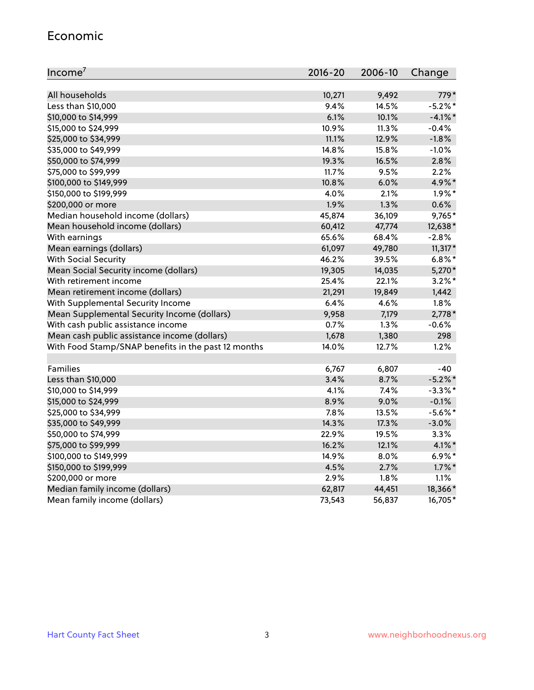#### Economic

| Income <sup>7</sup>                                 | 2016-20 | 2006-10 | Change     |
|-----------------------------------------------------|---------|---------|------------|
|                                                     |         |         |            |
| All households                                      | 10,271  | 9,492   | 779*       |
| Less than \$10,000                                  | 9.4%    | 14.5%   | $-5.2\%$ * |
| \$10,000 to \$14,999                                | 6.1%    | 10.1%   | $-4.1\%$ * |
| \$15,000 to \$24,999                                | 10.9%   | 11.3%   | $-0.4%$    |
| \$25,000 to \$34,999                                | 11.1%   | 12.9%   | $-1.8%$    |
| \$35,000 to \$49,999                                | 14.8%   | 15.8%   | $-1.0%$    |
| \$50,000 to \$74,999                                | 19.3%   | 16.5%   | 2.8%       |
| \$75,000 to \$99,999                                | 11.7%   | 9.5%    | 2.2%       |
| \$100,000 to \$149,999                              | 10.8%   | 6.0%    | 4.9%*      |
| \$150,000 to \$199,999                              | 4.0%    | 2.1%    | $1.9\%$ *  |
| \$200,000 or more                                   | 1.9%    | 1.3%    | 0.6%       |
| Median household income (dollars)                   | 45,874  | 36,109  | 9,765*     |
| Mean household income (dollars)                     | 60,412  | 47,774  | 12,638*    |
| With earnings                                       | 65.6%   | 68.4%   | $-2.8%$    |
| Mean earnings (dollars)                             | 61,097  | 49,780  | $11,317*$  |
| <b>With Social Security</b>                         | 46.2%   | 39.5%   | $6.8\%$ *  |
| Mean Social Security income (dollars)               | 19,305  | 14,035  | 5,270*     |
| With retirement income                              | 25.4%   | 22.1%   | $3.2\%$ *  |
| Mean retirement income (dollars)                    | 21,291  | 19,849  | 1,442      |
| With Supplemental Security Income                   | 6.4%    | 4.6%    | 1.8%       |
| Mean Supplemental Security Income (dollars)         | 9,958   | 7,179   | $2,778*$   |
| With cash public assistance income                  | 0.7%    | 1.3%    | $-0.6%$    |
| Mean cash public assistance income (dollars)        | 1,678   | 1,380   | 298        |
| With Food Stamp/SNAP benefits in the past 12 months | 14.0%   | 12.7%   | 1.2%       |
|                                                     |         |         |            |
| Families                                            | 6,767   | 6,807   | $-40$      |
| Less than \$10,000                                  | 3.4%    | 8.7%    | $-5.2\%$ * |
| \$10,000 to \$14,999                                | 4.1%    | 7.4%    | $-3.3\%$ * |
| \$15,000 to \$24,999                                | 8.9%    | 9.0%    | $-0.1%$    |
| \$25,000 to \$34,999                                | 7.8%    | 13.5%   | $-5.6\%$ * |
| \$35,000 to \$49,999                                | 14.3%   | 17.3%   | $-3.0%$    |
| \$50,000 to \$74,999                                | 22.9%   | 19.5%   | 3.3%       |
| \$75,000 to \$99,999                                | 16.2%   | 12.1%   | $4.1\%$ *  |
| \$100,000 to \$149,999                              | 14.9%   | $8.0\%$ | $6.9\%*$   |
| \$150,000 to \$199,999                              | 4.5%    | 2.7%    | $1.7\%$ *  |
| \$200,000 or more                                   | 2.9%    | 1.8%    | 1.1%       |
| Median family income (dollars)                      | 62,817  | 44,451  | 18,366*    |
| Mean family income (dollars)                        | 73,543  | 56,837  | 16,705*    |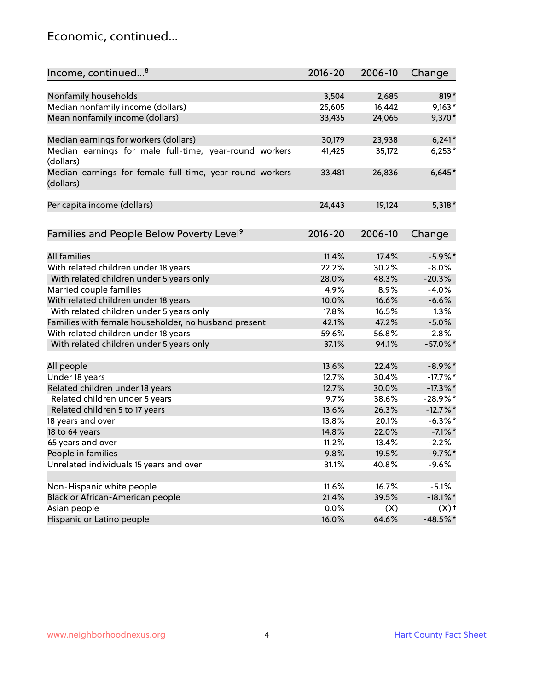### Economic, continued...

| Income, continued <sup>8</sup>                                        | $2016 - 20$   | 2006-10      | Change                           |
|-----------------------------------------------------------------------|---------------|--------------|----------------------------------|
|                                                                       |               |              |                                  |
| Nonfamily households                                                  | 3,504         | 2,685        | $819*$                           |
| Median nonfamily income (dollars)                                     | 25,605        | 16,442       | $9,163*$                         |
| Mean nonfamily income (dollars)                                       | 33,435        | 24,065       | 9,370*                           |
| Median earnings for workers (dollars)                                 | 30,179        | 23,938       | $6,241*$                         |
| Median earnings for male full-time, year-round workers<br>(dollars)   | 41,425        | 35,172       | $6,253*$                         |
| Median earnings for female full-time, year-round workers<br>(dollars) | 33,481        | 26,836       | $6,645*$                         |
| Per capita income (dollars)                                           | 24,443        | 19,124       | $5,318*$                         |
| Families and People Below Poverty Level <sup>9</sup>                  | 2016-20       | 2006-10      | Change                           |
|                                                                       |               |              |                                  |
| All families                                                          | 11.4%         | 17.4%        | $-5.9\%$ *                       |
| With related children under 18 years                                  | 22.2%         | 30.2%        | $-8.0%$                          |
| With related children under 5 years only                              | 28.0%         | 48.3%        | $-20.3%$                         |
| Married couple families                                               | 4.9%          | 8.9%         | $-4.0%$                          |
| With related children under 18 years                                  | 10.0%         | 16.6%        | $-6.6%$                          |
| With related children under 5 years only                              | 17.8%         | 16.5%        | 1.3%                             |
| Families with female householder, no husband present                  | 42.1%         | 47.2%        | $-5.0%$                          |
| With related children under 18 years                                  | 59.6%         | 56.8%        | 2.8%                             |
| With related children under 5 years only                              | 37.1%         | 94.1%        | $-57.0\%$ *                      |
| All people                                                            | 13.6%         | 22.4%        | $-8.9\%$ *                       |
| Under 18 years                                                        | 12.7%         | 30.4%        | $-17.7\%$ *                      |
| Related children under 18 years                                       | 12.7%         | 30.0%        | $-17.3\%$ *                      |
| Related children under 5 years                                        | 9.7%          | 38.6%        | $-28.9%$ *                       |
| Related children 5 to 17 years                                        | 13.6%         | 26.3%        | $-12.7%$ *                       |
| 18 years and over                                                     | 13.8%         | 20.1%        | $-6.3\%$ *                       |
| 18 to 64 years                                                        | 14.8%         | 22.0%        | $-7.1\%$ *                       |
| 65 years and over                                                     | 11.2%         | 13.4%        | $-2.2%$                          |
| People in families                                                    | 9.8%          | 19.5%        | $-9.7%$ *                        |
| Unrelated individuals 15 years and over                               | 31.1%         | 40.8%        | $-9.6%$                          |
|                                                                       |               |              | $-5.1%$                          |
| Non-Hispanic white people                                             | 11.6%         | 16.7%        |                                  |
| Black or African-American people                                      | 21.4%         | 39.5%        | $-18.1\%$ *                      |
| Asian people                                                          | 0.0%<br>16.0% | (X)<br>64.6% | $(X)$ <sup>+</sup><br>$-48.5%$ * |
| Hispanic or Latino people                                             |               |              |                                  |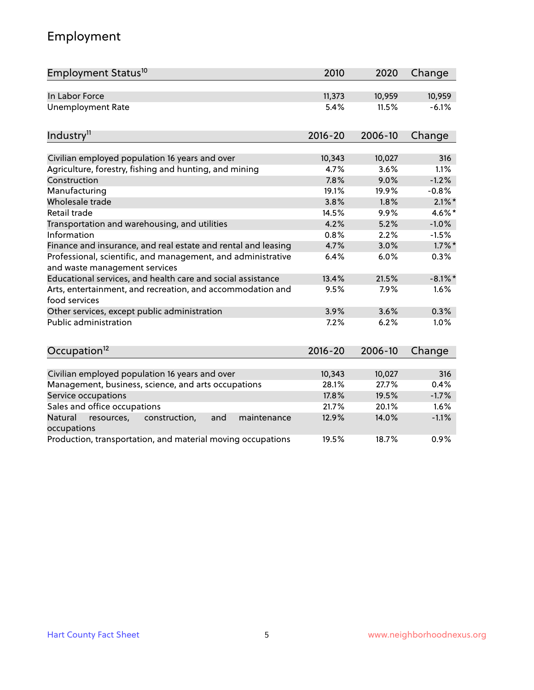# Employment

| Employment Status <sup>10</sup>                                                               | 2010        | 2020    | Change     |
|-----------------------------------------------------------------------------------------------|-------------|---------|------------|
| In Labor Force                                                                                | 11,373      | 10,959  | 10,959     |
| <b>Unemployment Rate</b>                                                                      | 5.4%        | 11.5%   | $-6.1%$    |
| Industry <sup>11</sup>                                                                        | $2016 - 20$ | 2006-10 | Change     |
| Civilian employed population 16 years and over                                                | 10,343      | 10,027  | 316        |
| Agriculture, forestry, fishing and hunting, and mining                                        | 4.7%        | 3.6%    | 1.1%       |
| Construction                                                                                  | 7.8%        | 9.0%    | $-1.2%$    |
| Manufacturing                                                                                 | 19.1%       | 19.9%   | $-0.8%$    |
| Wholesale trade                                                                               | 3.8%        | 1.8%    | $2.1\%$ *  |
| Retail trade                                                                                  | 14.5%       | 9.9%    | 4.6%*      |
| Transportation and warehousing, and utilities                                                 | 4.2%        | 5.2%    | $-1.0%$    |
| Information                                                                                   | 0.8%        | 2.2%    | $-1.5%$    |
| Finance and insurance, and real estate and rental and leasing                                 | 4.7%        | 3.0%    | $1.7\%$ *  |
| Professional, scientific, and management, and administrative<br>and waste management services | 6.4%        | 6.0%    | 0.3%       |
| Educational services, and health care and social assistance                                   | 13.4%       | 21.5%   | $-8.1\%$ * |
| Arts, entertainment, and recreation, and accommodation and<br>food services                   | 9.5%        | 7.9%    | 1.6%       |
| Other services, except public administration                                                  | 3.9%        | 3.6%    | 0.3%       |
| <b>Public administration</b>                                                                  | 7.2%        | 6.2%    | 1.0%       |
| Occupation <sup>12</sup>                                                                      | $2016 - 20$ | 2006-10 | Change     |
|                                                                                               |             |         |            |
| Civilian employed population 16 years and over                                                | 10,343      | 10,027  | 316        |
| Management, business, science, and arts occupations                                           | 28.1%       | 27.7%   | 0.4%       |
| Service occupations                                                                           | 17.8%       | 19.5%   | $-1.7%$    |
| Sales and office occupations                                                                  | 21.7%       | 20.1%   | 1.6%       |
| Natural<br>resources,<br>construction,<br>and<br>maintenance<br>occupations                   | 12.9%       | 14.0%   | $-1.1%$    |
| Production, transportation, and material moving occupations                                   | 19.5%       | 18.7%   | 0.9%       |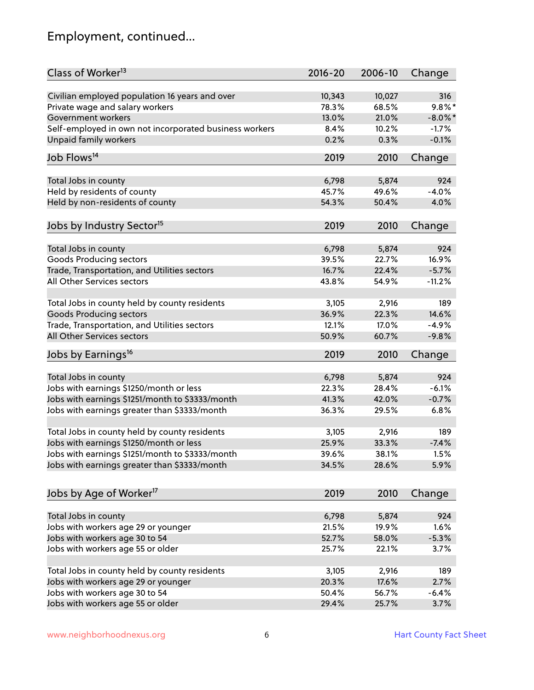# Employment, continued...

| Class of Worker <sup>13</sup>                          | $2016 - 20$    | 2006-10 | Change           |
|--------------------------------------------------------|----------------|---------|------------------|
| Civilian employed population 16 years and over         | 10,343         | 10,027  | 316              |
| Private wage and salary workers                        | 78.3%          | 68.5%   | $9.8\%$ *        |
| Government workers                                     | 13.0%          | 21.0%   | $-8.0\%$ *       |
| Self-employed in own not incorporated business workers | 8.4%           | 10.2%   | $-1.7%$          |
| Unpaid family workers                                  | 0.2%           | 0.3%    | $-0.1%$          |
| Job Flows <sup>14</sup>                                | 2019           | 2010    | Change           |
|                                                        |                |         |                  |
| Total Jobs in county                                   | 6,798          | 5,874   | 924              |
| Held by residents of county                            | 45.7%          | 49.6%   | $-4.0%$          |
| Held by non-residents of county                        | 54.3%          | 50.4%   | 4.0%             |
| Jobs by Industry Sector <sup>15</sup>                  | 2019           | 2010    | Change           |
|                                                        |                |         |                  |
| Total Jobs in county                                   | 6,798          | 5,874   | 924              |
| Goods Producing sectors                                | 39.5%<br>16.7% | 22.7%   | 16.9%<br>$-5.7%$ |
| Trade, Transportation, and Utilities sectors           |                | 22.4%   |                  |
| All Other Services sectors                             | 43.8%          | 54.9%   | $-11.2%$         |
| Total Jobs in county held by county residents          | 3,105          | 2,916   | 189              |
| <b>Goods Producing sectors</b>                         | 36.9%          | 22.3%   | 14.6%            |
| Trade, Transportation, and Utilities sectors           | 12.1%          | 17.0%   | $-4.9%$          |
| All Other Services sectors                             | 50.9%          | 60.7%   | $-9.8%$          |
| Jobs by Earnings <sup>16</sup>                         | 2019           | 2010    | Change           |
|                                                        |                |         |                  |
| Total Jobs in county                                   | 6,798          | 5,874   | 924              |
| Jobs with earnings \$1250/month or less                | 22.3%          | 28.4%   | $-6.1%$          |
| Jobs with earnings \$1251/month to \$3333/month        | 41.3%          | 42.0%   | $-0.7%$          |
| Jobs with earnings greater than \$3333/month           | 36.3%          | 29.5%   | 6.8%             |
| Total Jobs in county held by county residents          | 3,105          | 2,916   | 189              |
| Jobs with earnings \$1250/month or less                | 25.9%          | 33.3%   | $-7.4%$          |
| Jobs with earnings \$1251/month to \$3333/month        | 39.6%          | 38.1%   | $1.5\%$          |
| Jobs with earnings greater than \$3333/month           | 34.5%          | 28.6%   | 5.9%             |
|                                                        |                |         |                  |
| Jobs by Age of Worker <sup>17</sup>                    | 2019           | 2010    | Change           |
| Total Jobs in county                                   | 6,798          | 5,874   | 924              |
| Jobs with workers age 29 or younger                    | 21.5%          | 19.9%   | 1.6%             |
| Jobs with workers age 30 to 54                         | 52.7%          | 58.0%   | $-5.3%$          |
| Jobs with workers age 55 or older                      | 25.7%          | 22.1%   | 3.7%             |
|                                                        |                |         |                  |
| Total Jobs in county held by county residents          | 3,105          | 2,916   | 189              |
| Jobs with workers age 29 or younger                    | 20.3%          | 17.6%   | 2.7%             |
| Jobs with workers age 30 to 54                         | 50.4%          | 56.7%   | $-6.4%$          |
| Jobs with workers age 55 or older                      | 29.4%          | 25.7%   | 3.7%             |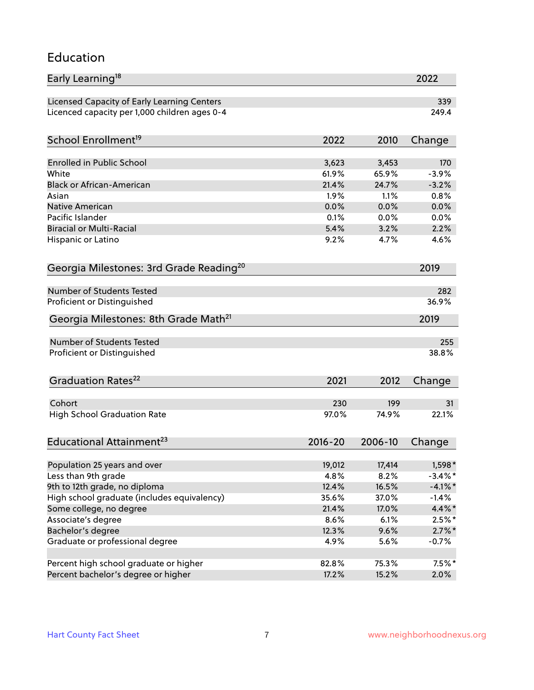#### Education

| Early Learning <sup>18</sup>                        |             |               | 2022       |
|-----------------------------------------------------|-------------|---------------|------------|
| Licensed Capacity of Early Learning Centers         |             |               | 339        |
| Licenced capacity per 1,000 children ages 0-4       |             |               | 249.4      |
| School Enrollment <sup>19</sup>                     | 2022        | 2010          | Change     |
|                                                     |             |               |            |
| <b>Enrolled in Public School</b>                    | 3,623       | 3,453         | 170        |
| White<br><b>Black or African-American</b>           | 61.9%       | 65.9%         | $-3.9%$    |
|                                                     | 21.4%       | 24.7%<br>1.1% | $-3.2%$    |
| Asian                                               | 1.9%        |               | 0.8%       |
| <b>Native American</b><br>Pacific Islander          | 0.0%        | 0.0%          | 0.0%       |
|                                                     | 0.1%        | 0.0%          | 0.0%       |
| <b>Biracial or Multi-Racial</b>                     | 5.4%        | 3.2%          | 2.2%       |
| Hispanic or Latino                                  | 9.2%        | 4.7%          | 4.6%       |
| Georgia Milestones: 3rd Grade Reading <sup>20</sup> |             |               | 2019       |
| <b>Number of Students Tested</b>                    |             |               | 282        |
| Proficient or Distinguished                         |             |               | 36.9%      |
| Georgia Milestones: 8th Grade Math <sup>21</sup>    |             |               | 2019       |
| Number of Students Tested                           |             |               | 255        |
| Proficient or Distinguished                         |             |               | 38.8%      |
|                                                     |             |               |            |
| Graduation Rates <sup>22</sup>                      | 2021        | 2012          | Change     |
| Cohort                                              | 230         | 199           | 31         |
| <b>High School Graduation Rate</b>                  | 97.0%       | 74.9%         | 22.1%      |
| Educational Attainment <sup>23</sup>                | $2016 - 20$ | 2006-10       | Change     |
|                                                     |             |               |            |
| Population 25 years and over                        | 19,012      | 17,414        | 1,598 *    |
| Less than 9th grade                                 | 4.8%        | 8.2%          | $-3.4\%$ * |
| 9th to 12th grade, no diploma                       | 12.4%       | 16.5%         | $-4.1\%$ * |
| High school graduate (includes equivalency)         | 35.6%       | 37.0%         | $-1.4%$    |
| Some college, no degree                             | 21.4%       | 17.0%         | 4.4%*      |
| Associate's degree                                  | 8.6%        | 6.1%          | $2.5%$ *   |
| Bachelor's degree                                   | 12.3%       | 9.6%          | $2.7\%$ *  |
| Graduate or professional degree                     | 4.9%        | 5.6%          | $-0.7%$    |
|                                                     |             |               |            |
| Percent high school graduate or higher              | 82.8%       | 75.3%         | $7.5\%$ *  |
| Percent bachelor's degree or higher                 | 17.2%       | 15.2%         | 2.0%       |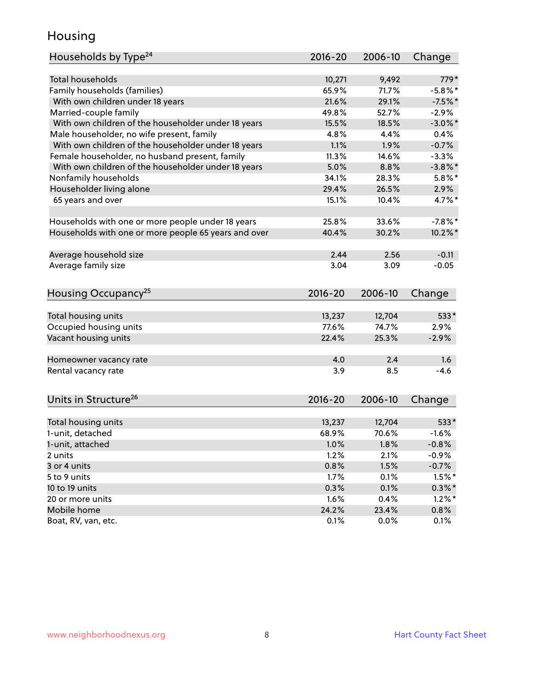### Housing

| Households by Type <sup>24</sup>                     | 2016-20     | 2006-10 | Change     |
|------------------------------------------------------|-------------|---------|------------|
|                                                      |             |         |            |
| <b>Total households</b>                              | 10,271      | 9,492   | 779*       |
| Family households (families)                         | 65.9%       | 71.7%   | $-5.8\%$ * |
| With own children under 18 years                     | 21.6%       | 29.1%   | $-7.5%$ *  |
| Married-couple family                                | 49.8%       | 52.7%   | $-2.9%$    |
| With own children of the householder under 18 years  | 15.5%       | 18.5%   | $-3.0\%$ * |
| Male householder, no wife present, family            | 4.8%        | 4.4%    | 0.4%       |
| With own children of the householder under 18 years  | 1.1%        | 1.9%    | $-0.7%$    |
| Female householder, no husband present, family       | 11.3%       | 14.6%   | $-3.3%$    |
| With own children of the householder under 18 years  | 5.0%        | 8.8%    | $-3.8\%$ * |
| Nonfamily households                                 | 34.1%       | 28.3%   | $5.8\%$ *  |
| Householder living alone                             | 29.4%       | 26.5%   | 2.9%       |
| 65 years and over                                    | 15.1%       | 10.4%   | 4.7%*      |
|                                                      | 25.8%       | 33.6%   | $-7.8%$    |
| Households with one or more people under 18 years    |             |         |            |
| Households with one or more people 65 years and over | 40.4%       | 30.2%   | $10.2\%$ * |
| Average household size                               | 2.44        | 2.56    | $-0.11$    |
| Average family size                                  | 3.04        | 3.09    | $-0.05$    |
| Housing Occupancy <sup>25</sup>                      | $2016 - 20$ | 2006-10 | Change     |
|                                                      |             |         |            |
| Total housing units                                  | 13,237      | 12,704  | 533*       |
| Occupied housing units                               | 77.6%       | 74.7%   | 2.9%       |
| Vacant housing units                                 | 22.4%       | 25.3%   | $-2.9%$    |
| Homeowner vacancy rate                               | 4.0         | 2.4     | 1.6        |
| Rental vacancy rate                                  | 3.9         | 8.5     | $-4.6$     |
|                                                      |             |         |            |
| Units in Structure <sup>26</sup>                     | $2016 - 20$ | 2006-10 | Change     |
| Total housing units                                  | 13,237      | 12,704  | $533*$     |
| 1-unit, detached                                     | 68.9%       | 70.6%   | $-1.6%$    |
| 1-unit, attached                                     | 1.0%        | 1.8%    | $-0.8%$    |
| 2 units                                              | 1.2%        | 2.1%    | $-0.9%$    |
| 3 or 4 units                                         | 0.8%        | 1.5%    | $-0.7%$    |
| 5 to 9 units                                         | 1.7%        | 0.1%    | $1.5%$ *   |
| 10 to 19 units                                       | 0.3%        | 0.1%    | $0.3\% *$  |
| 20 or more units                                     | 1.6%        | 0.4%    | $1.2\%$ *  |
| Mobile home                                          | 24.2%       | 23.4%   | 0.8%       |
| Boat, RV, van, etc.                                  | 0.1%        | 0.0%    | 0.1%       |
|                                                      |             |         |            |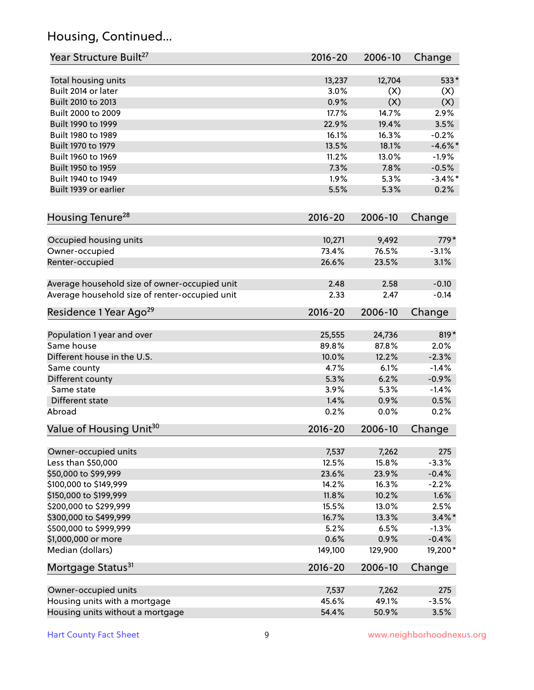# Housing, Continued...

| Year Structure Built <sup>27</sup>             | 2016-20     | 2006-10 | Change     |
|------------------------------------------------|-------------|---------|------------|
| Total housing units                            | 13,237      | 12,704  | 533*       |
| Built 2014 or later                            | 3.0%        | (X)     | (X)        |
| Built 2010 to 2013                             | 0.9%        | (X)     | (X)        |
| Built 2000 to 2009                             | 17.7%       | 14.7%   | 2.9%       |
| Built 1990 to 1999                             | 22.9%       | 19.4%   | 3.5%       |
| Built 1980 to 1989                             | 16.1%       | 16.3%   | $-0.2%$    |
| Built 1970 to 1979                             | 13.5%       | 18.1%   | $-4.6\%$ * |
| Built 1960 to 1969                             | 11.2%       | 13.0%   | $-1.9%$    |
| Built 1950 to 1959                             | 7.3%        | 7.8%    | $-0.5%$    |
| Built 1940 to 1949                             | 1.9%        | 5.3%    | $-3.4\%$ * |
| Built 1939 or earlier                          | 5.5%        | 5.3%    | 0.2%       |
| Housing Tenure <sup>28</sup>                   | $2016 - 20$ | 2006-10 | Change     |
|                                                |             |         |            |
| Occupied housing units                         | 10,271      | 9,492   | $779*$     |
| Owner-occupied                                 | 73.4%       | 76.5%   | $-3.1%$    |
| Renter-occupied                                | 26.6%       | 23.5%   | 3.1%       |
| Average household size of owner-occupied unit  | 2.48        | 2.58    | $-0.10$    |
| Average household size of renter-occupied unit | 2.33        | 2.47    | $-0.14$    |
| Residence 1 Year Ago <sup>29</sup>             | $2016 - 20$ | 2006-10 | Change     |
|                                                | 25,555      | 24,736  | 819*       |
| Population 1 year and over<br>Same house       | 89.8%       | 87.8%   | 2.0%       |
| Different house in the U.S.                    | 10.0%       | 12.2%   | $-2.3%$    |
| Same county                                    | 4.7%        | 6.1%    | $-1.4%$    |
| Different county                               | 5.3%        | 6.2%    | $-0.9%$    |
| Same state                                     | 3.9%        | 5.3%    | $-1.4%$    |
| Different state                                | 1.4%        | 0.9%    | 0.5%       |
| Abroad                                         | 0.2%        | 0.0%    | 0.2%       |
| Value of Housing Unit <sup>30</sup>            | 2016-20     | 2006-10 | Change     |
|                                                |             |         |            |
| Owner-occupied units                           | 7,537       | 7,262   | 275        |
| Less than \$50,000                             | 12.5%       | 15.8%   | $-3.3%$    |
| \$50,000 to \$99,999                           | 23.6%       | 23.9%   | $-0.4%$    |
| \$100,000 to \$149,999                         | 14.2%       | 16.3%   | $-2.2%$    |
| \$150,000 to \$199,999                         | 11.8%       | 10.2%   | 1.6%       |
| \$200,000 to \$299,999                         | 15.5%       | 13.0%   | 2.5%       |
| \$300,000 to \$499,999                         | 16.7%       | 13.3%   | $3.4\%$ *  |
| \$500,000 to \$999,999                         | 5.2%        | 6.5%    | $-1.3%$    |
| \$1,000,000 or more                            | 0.6%        | 0.9%    | $-0.4%$    |
| Median (dollars)                               | 149,100     | 129,900 | 19,200*    |
| Mortgage Status <sup>31</sup>                  | $2016 - 20$ | 2006-10 | Change     |
| Owner-occupied units                           | 7,537       | 7,262   | 275        |
| Housing units with a mortgage                  | 45.6%       | 49.1%   | $-3.5%$    |
| Housing units without a mortgage               | 54.4%       | 50.9%   | 3.5%       |
|                                                |             |         |            |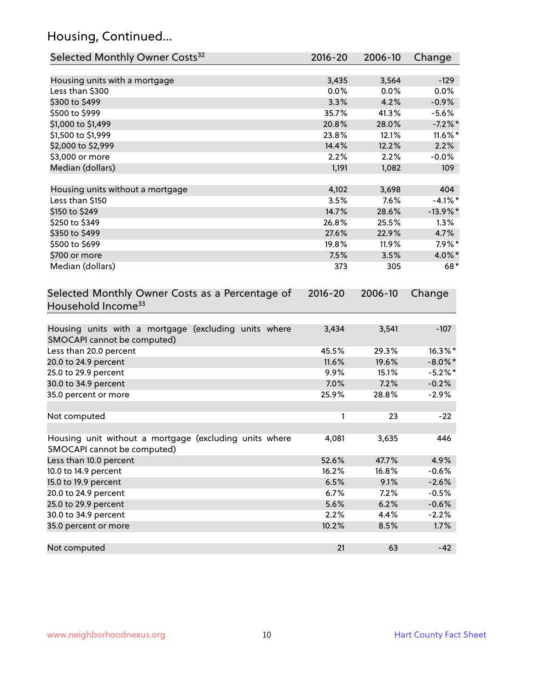# Housing, Continued...

| Selected Monthly Owner Costs <sup>32</sup>                                            | 2016-20     | 2006-10 | Change      |
|---------------------------------------------------------------------------------------|-------------|---------|-------------|
| Housing units with a mortgage                                                         | 3,435       | 3,564   | $-129$      |
| Less than \$300                                                                       | 0.0%        | 0.0%    | 0.0%        |
| \$300 to \$499                                                                        | 3.3%        | 4.2%    | $-0.9%$     |
| \$500 to \$999                                                                        | 35.7%       | 41.3%   | $-5.6%$     |
| \$1,000 to \$1,499                                                                    | 20.8%       | 28.0%   | $-7.2\%$ *  |
| \$1,500 to \$1,999                                                                    | 23.8%       | 12.1%   | $11.6\%$ *  |
| \$2,000 to \$2,999                                                                    | 14.4%       | 12.2%   | 2.2%        |
| \$3,000 or more                                                                       | 2.2%        | 2.2%    | $-0.0%$     |
| Median (dollars)                                                                      | 1,191       | 1,082   | 109         |
|                                                                                       |             |         |             |
| Housing units without a mortgage                                                      | 4,102       | 3,698   | 404         |
| Less than \$150                                                                       | 3.5%        | 7.6%    | $-4.1\%$ *  |
| \$150 to \$249                                                                        | 14.7%       | 28.6%   | $-13.9\%$ * |
| \$250 to \$349                                                                        | 26.8%       | 25.5%   | 1.3%        |
| \$350 to \$499                                                                        | 27.6%       | 22.9%   | 4.7%        |
| \$500 to \$699                                                                        | 19.8%       | 11.9%   | $7.9\%$ *   |
| \$700 or more                                                                         | 7.5%        | 3.5%    | 4.0%*       |
| Median (dollars)                                                                      | 373         | 305     | 68*         |
| Selected Monthly Owner Costs as a Percentage of<br>Household Income <sup>33</sup>     | $2016 - 20$ | 2006-10 | Change      |
| Housing units with a mortgage (excluding units where<br>SMOCAPI cannot be computed)   | 3,434       | 3,541   | $-107$      |
| Less than 20.0 percent                                                                | 45.5%       | 29.3%   | 16.3%*      |
| 20.0 to 24.9 percent                                                                  | 11.6%       | 19.6%   | $-8.0\%$ *  |
| 25.0 to 29.9 percent                                                                  | 9.9%        | 15.1%   | $-5.2\%$ *  |
| 30.0 to 34.9 percent                                                                  | 7.0%        | 7.2%    | $-0.2%$     |
| 35.0 percent or more                                                                  | 25.9%       | 28.8%   | $-2.9%$     |
| Not computed                                                                          | 1           | 23      | $-22$       |
| Housing unit without a mortgage (excluding units where<br>SMOCAPI cannot be computed) | 4,081       | 3,635   | 446         |
| Less than 10.0 percent                                                                | 52.6%       | 47.7%   | 4.9%        |
| 10.0 to 14.9 percent                                                                  | 16.2%       | 16.8%   | $-0.6%$     |
| 15.0 to 19.9 percent                                                                  | 6.5%        | 9.1%    | $-2.6%$     |
| 20.0 to 24.9 percent                                                                  | 6.7%        | 7.2%    | $-0.5%$     |
| 25.0 to 29.9 percent                                                                  | 5.6%        | 6.2%    | $-0.6%$     |
| 30.0 to 34.9 percent                                                                  | 2.2%        | 4.4%    | $-2.2%$     |
| 35.0 percent or more                                                                  | 10.2%       | 8.5%    | 1.7%        |
| Not computed                                                                          | 21          | 63      | $-42$       |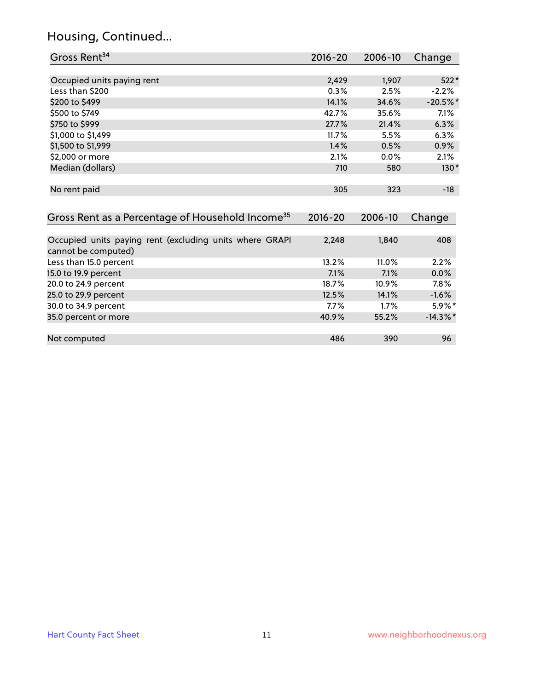# Housing, Continued...

| Gross Rent <sup>34</sup>                                                       | 2016-20     | 2006-10 | Change      |
|--------------------------------------------------------------------------------|-------------|---------|-------------|
|                                                                                |             |         |             |
| Occupied units paying rent                                                     | 2,429       | 1,907   | $522*$      |
| Less than \$200                                                                | 0.3%        | 2.5%    | $-2.2%$     |
| \$200 to \$499                                                                 | 14.1%       | 34.6%   | $-20.5%$ *  |
| \$500 to \$749                                                                 | 42.7%       | 35.6%   | 7.1%        |
| \$750 to \$999                                                                 | 27.7%       | 21.4%   | 6.3%        |
| \$1,000 to \$1,499                                                             | 11.7%       | 5.5%    | 6.3%        |
| \$1,500 to \$1,999                                                             | 1.4%        | 0.5%    | 0.9%        |
| \$2,000 or more                                                                | 2.1%        | 0.0%    | 2.1%        |
| Median (dollars)                                                               | 710         | 580     | $130*$      |
| No rent paid                                                                   | 305         | 323     | $-18$       |
| Gross Rent as a Percentage of Household Income <sup>35</sup>                   | $2016 - 20$ | 2006-10 | Change      |
|                                                                                |             |         |             |
| Occupied units paying rent (excluding units where GRAPI<br>cannot be computed) | 2,248       | 1,840   | 408         |
| Less than 15.0 percent                                                         | 13.2%       | 11.0%   | 2.2%        |
| 15.0 to 19.9 percent                                                           | 7.1%        | 7.1%    | 0.0%        |
| 20.0 to 24.9 percent                                                           | 18.7%       | 10.9%   | 7.8%        |
| 25.0 to 29.9 percent                                                           | 12.5%       | 14.1%   | $-1.6%$     |
| 30.0 to 34.9 percent                                                           | 7.7%        | 1.7%    | $5.9\%*$    |
| 35.0 percent or more                                                           | 40.9%       | 55.2%   | $-14.3\%$ * |
| Not computed                                                                   | 486         | 390     | 96          |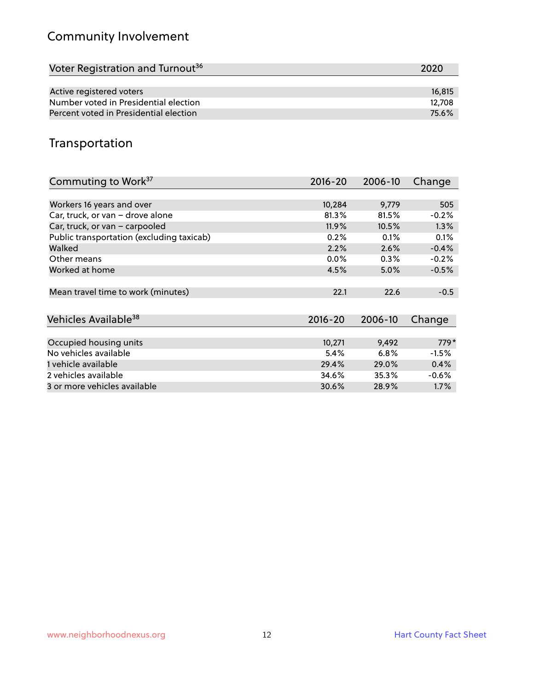# Community Involvement

| Voter Registration and Turnout <sup>36</sup> | 2020   |
|----------------------------------------------|--------|
|                                              |        |
| Active registered voters                     | 16,815 |
| Number voted in Presidential election        | 12.708 |
| Percent voted in Presidential election       | 75.6%  |

# Transportation

| Commuting to Work <sup>37</sup>           | 2016-20     | 2006-10 | Change   |
|-------------------------------------------|-------------|---------|----------|
|                                           |             |         |          |
| Workers 16 years and over                 | 10,284      | 9,779   | 505      |
| Car, truck, or van - drove alone          | 81.3%       | 81.5%   | $-0.2%$  |
| Car, truck, or van - carpooled            | 11.9%       | 10.5%   | 1.3%     |
| Public transportation (excluding taxicab) | 0.2%        | 0.1%    | 0.1%     |
| Walked                                    | 2.2%        | 2.6%    | $-0.4%$  |
| Other means                               | $0.0\%$     | $0.3\%$ | $-0.2%$  |
| Worked at home                            | 4.5%        | 5.0%    | $-0.5%$  |
|                                           |             |         |          |
| Mean travel time to work (minutes)        | 22.1        | 22.6    | $-0.5$   |
|                                           |             |         |          |
| Vehicles Available <sup>38</sup>          | $2016 - 20$ | 2006-10 | Change   |
|                                           |             |         |          |
| Occupied housing units                    | 10,271      | 9,492   | $779*$   |
| No vehicles available                     | 5.4%        | 6.8%    | $-1.5\%$ |
| 1 vehicle available                       | 29.4%       | 29.0%   | 0.4%     |
| 2 vehicles available                      | 34.6%       | 35.3%   | $-0.6%$  |
| 3 or more vehicles available              | 30.6%       | 28.9%   | $1.7\%$  |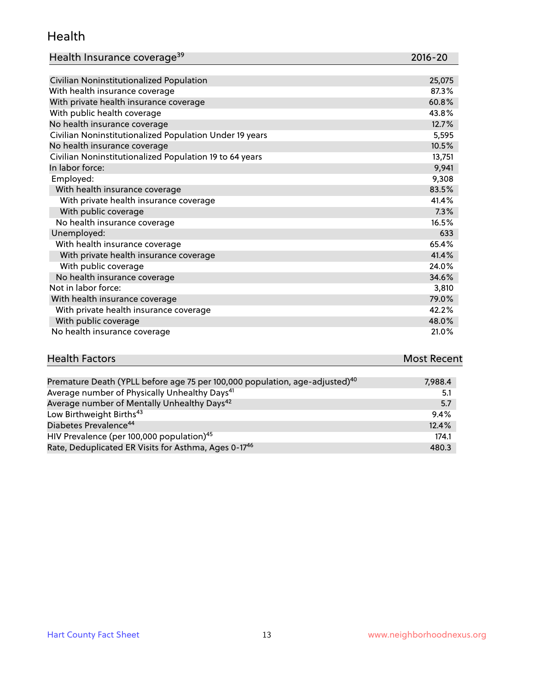#### Health

| Health Insurance coverage <sup>39</sup> | 2016-20 |
|-----------------------------------------|---------|
|-----------------------------------------|---------|

| Civilian Noninstitutionalized Population                | 25,075 |
|---------------------------------------------------------|--------|
| With health insurance coverage                          | 87.3%  |
| With private health insurance coverage                  | 60.8%  |
| With public health coverage                             | 43.8%  |
| No health insurance coverage                            | 12.7%  |
| Civilian Noninstitutionalized Population Under 19 years | 5,595  |
| No health insurance coverage                            | 10.5%  |
| Civilian Noninstitutionalized Population 19 to 64 years | 13,751 |
| In labor force:                                         | 9,941  |
| Employed:                                               | 9,308  |
| With health insurance coverage                          | 83.5%  |
| With private health insurance coverage                  | 41.4%  |
| With public coverage                                    | 7.3%   |
| No health insurance coverage                            | 16.5%  |
| Unemployed:                                             | 633    |
| With health insurance coverage                          | 65.4%  |
| With private health insurance coverage                  | 41.4%  |
| With public coverage                                    | 24.0%  |
| No health insurance coverage                            | 34.6%  |
| Not in labor force:                                     | 3,810  |
| With health insurance coverage                          | 79.0%  |
| With private health insurance coverage                  | 42.2%  |
| With public coverage                                    | 48.0%  |
| No health insurance coverage                            | 21.0%  |

| <b>Health Factors</b> | <b>Most Recent</b> |
|-----------------------|--------------------|
|                       |                    |

| Premature Death (YPLL before age 75 per 100,000 population, age-adjusted) <sup>40</sup> | 7,988.4 |
|-----------------------------------------------------------------------------------------|---------|
| Average number of Physically Unhealthy Days <sup>41</sup>                               | 5.1     |
| Average number of Mentally Unhealthy Days <sup>42</sup>                                 | 5.7     |
| Low Birthweight Births <sup>43</sup>                                                    | 9.4%    |
| Diabetes Prevalence <sup>44</sup>                                                       | 12.4%   |
| HIV Prevalence (per 100,000 population) <sup>45</sup>                                   | 174.1   |
| Rate, Deduplicated ER Visits for Asthma, Ages 0-17 <sup>46</sup>                        | 480.3   |